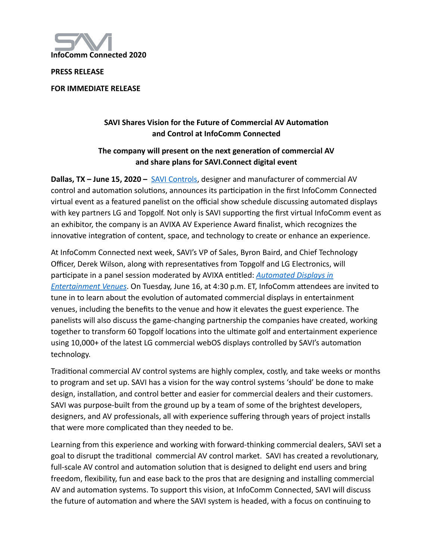

**PRESS RELEASE** 

**FOR IMMEDIATE RELEASE** 

## **SAVI Shares Vision for the Future of Commercial AV Automation and Control at InfoComm Connected**

## The company will present on the next generation of commercial AV **and share plans for SAVI.Connect digital event**

**Dallas, TX – June 15, 2020 –** [SAVI Controls,](http://www.hellosavi.com) designer and manufacturer of commercial AV control and automation solutions, announces its participation in the first InfoComm Connected virtual event as a featured panelist on the official show schedule discussing automated displays with key partners LG and Topgolf. Not only is SAVI supporting the first virtual InfoComm event as an exhibitor, the company is an AVIXA AV Experience Award finalist, which recognizes the innovative integration of content, space, and technology to create or enhance an experience.

At InfoComm Connected next week, SAVI's VP of Sales, Byron Baird, and Chief Technology Officer, Derek Wilson, along with representatives from Topgolf and LG Electronics, will participate in a panel session moderated by AVIXA entitled: *Automated Displays in [Entertainment Venues](https://www.infocommshow.org/event-info/content-program)*. On Tuesday, June 16, at 4:30 p.m. ET, InfoComm attendees are invited to tune in to learn about the evolution of automated commercial displays in entertainment venues, including the benefits to the venue and how it elevates the guest experience. The panelists will also discuss the game-changing partnership the companies have created, working together to transform 60 Topgolf locations into the ultimate golf and entertainment experience using 10,000+ of the latest LG commercial webOS displays controlled by SAVI's automation technology.

Traditional commercial AV control systems are highly complex, costly, and take weeks or months to program and set up. SAVI has a vision for the way control systems 'should' be done to make design, installation, and control better and easier for commercial dealers and their customers. SAVI was purpose-built from the ground up by a team of some of the brightest developers, designers, and AV professionals, all with experience suffering through years of project installs that were more complicated than they needed to be.

Learning from this experience and working with forward-thinking commercial dealers, SAVI set a goal to disrupt the traditional commercial AV control market. SAVI has created a revolutionary, full-scale AV control and automation solution that is designed to delight end users and bring freedom, flexibility, fun and ease back to the pros that are designing and installing commercial AV and automation systems. To support this vision, at InfoComm Connected, SAVI will discuss the future of automation and where the SAVI system is headed, with a focus on continuing to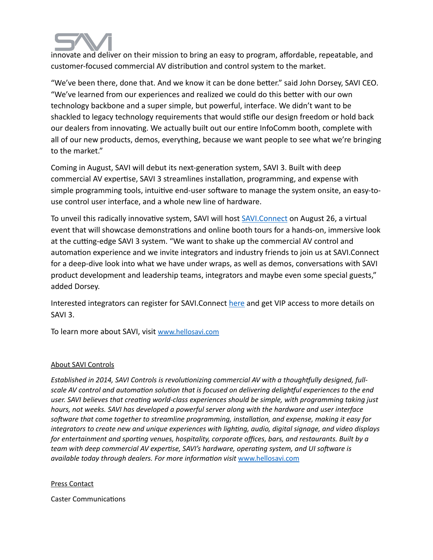

innovate and deliver on their mission to bring an easy to program, affordable, repeatable, and customer-focused commercial AV distribution and control system to the market.

"We've been there, done that. And we know it can be done better." said John Dorsey, SAVI CEO. "We've learned from our experiences and realized we could do this better with our own technology backbone and a super simple, but powerful, interface. We didn't want to be shackled to legacy technology requirements that would stifle our design freedom or hold back our dealers from innovating. We actually built out our entire InfoComm booth, complete with all of our new products, demos, everything, because we want people to see what we're bringing to the market."

Coming in August, SAVI will debut its next-generation system, SAVI 3. Built with deep commercial AV expertise, SAVI 3 streamlines installation, programming, and expense with simple programming tools, intuitive end-user software to manage the system onsite, an easy-touse control user interface, and a whole new line of hardware.

To unveil this radically innovative system, SAVI will host [SAVI.Connect](http://www.hellosavi.com/connect) on August 26, a virtual event that will showcase demonstrations and online booth tours for a hands-on, immersive look at the cutting-edge SAVI 3 system. "We want to shake up the commercial AV control and automation experience and we invite integrators and industry friends to join us at SAVI.Connect for a deep-dive look into what we have under wraps, as well as demos, conversations with SAVI product development and leadership teams, integrators and maybe even some special guests," added Dorsey.

Interested integrators can register for SAVI. Connect [here](http://www.hellosavi.com/connect) and get VIP access to more details on SAVI 3.

To learn more about SAVI, visit [www.hellosavi.com](http://www.hellosavi.com)

## About SAVI Controls

*Established in 2014, SAVI Controls is revolutionizing commercial AV with a thoughtfully designed, full*scale AV control and automation solution that is focused on delivering delightful experiences to the end user. SAVI believes that creating world-class experiences should be simple, with programming taking just *hours, not weeks. SAVI has developed a powerful server along with the hardware and user interface*  software that come together to streamline programming, installation, and expense, making it easy for *integrators to create new and unique experiences with lighting, audio, digital signage, and video displays* for entertainment and sporting venues, hospitality, corporate offices, bars, and restaurants. Built by a *team with deep commercial AV expertise, SAVI's hardware, operating system, and UI software is available today through dealers. For more informa?on visit* [www.hellosavi.com](http://www.hellosavi.com)

## Press Contact

Caster Communications